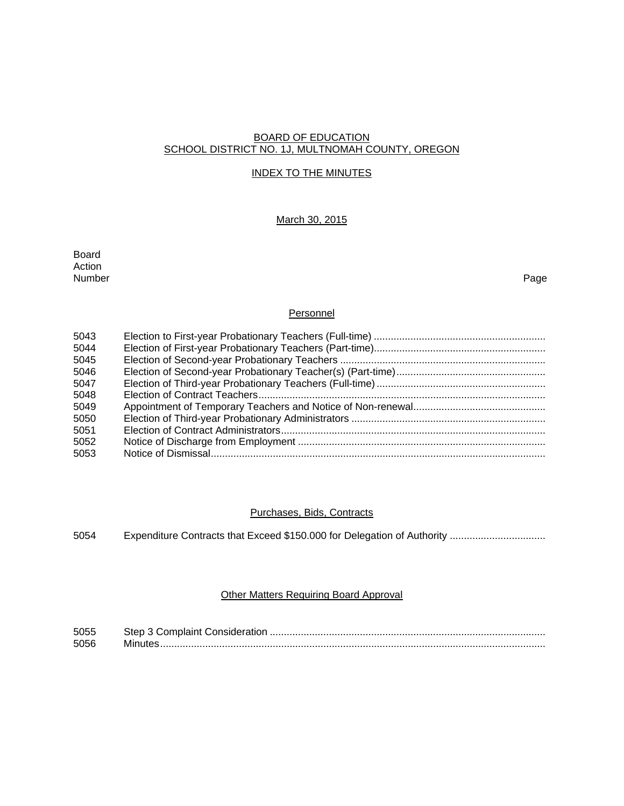#### BOARD OF EDUCATION SCHOOL DISTRICT NO. 1J, MULTNOMAH COUNTY, OREGON

#### INDEX TO THE MINUTES

# March 30, 2015

Board Action<br>Number Number Page

# **Personnel**

| 5043 |  |
|------|--|
| 5044 |  |
| 5045 |  |
| 5046 |  |
| 5047 |  |
| 5048 |  |
| 5049 |  |
| 5050 |  |
| 5051 |  |
| 5052 |  |
| 5053 |  |

#### Purchases, Bids, Contracts

5054 Expenditure Contracts that Exceed \$150.000 for Delegation of Authority .................................

# Other Matters Requiring Board Approval

| 5055 |  |
|------|--|
| 5056 |  |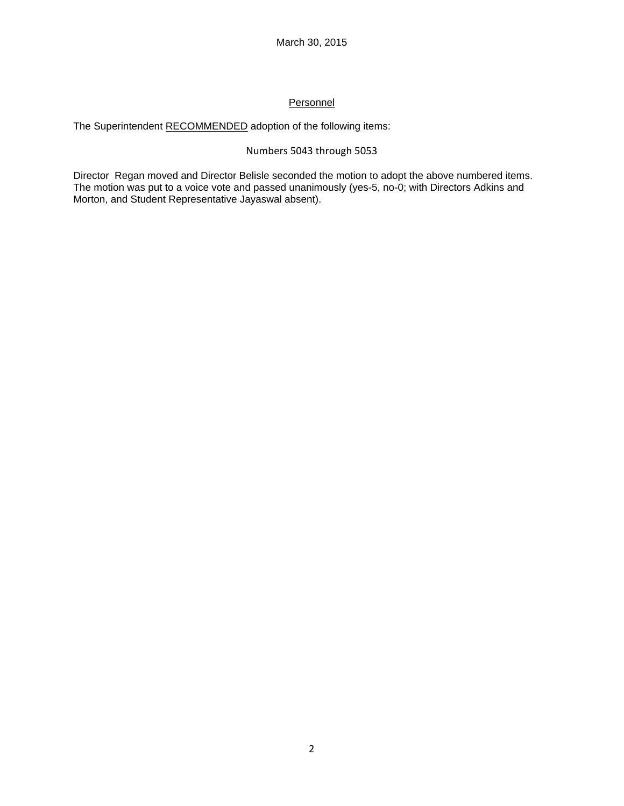# **Personnel**

The Superintendent RECOMMENDED adoption of the following items:

# Numbers 5043 through 5053

Director Regan moved and Director Belisle seconded the motion to adopt the above numbered items. The motion was put to a voice vote and passed unanimously (yes-5, no-0; with Directors Adkins and Morton, and Student Representative Jayaswal absent).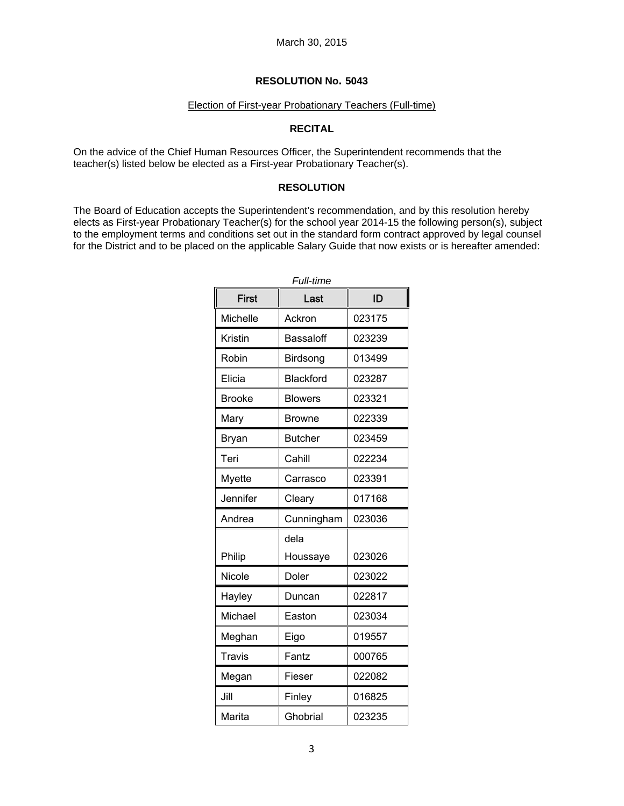#### Election of First-year Probationary Teachers (Full-time)

## **RECITAL**

On the advice of the Chief Human Resources Officer, the Superintendent recommends that the teacher(s) listed below be elected as a First-year Probationary Teacher(s).

## **RESOLUTION**

The Board of Education accepts the Superintendent's recommendation, and by this resolution hereby elects as First-year Probationary Teacher(s) for the school year 2014-15 the following person(s), subject to the employment terms and conditions set out in the standard form contract approved by legal counsel for the District and to be placed on the applicable Salary Guide that now exists or is hereafter amended:

| Full-time     |                  |        |  |
|---------------|------------------|--------|--|
| First         | Last             | ID     |  |
| Michelle      | Ackron           | 023175 |  |
| Kristin       | Bassaloff        | 023239 |  |
| Robin         | Birdsong         | 013499 |  |
| Elicia        | <b>Blackford</b> | 023287 |  |
| <b>Brooke</b> | <b>Blowers</b>   | 023321 |  |
| Mary          | <b>Browne</b>    | 022339 |  |
| <b>Bryan</b>  | <b>Butcher</b>   | 023459 |  |
| Teri          | Cahill           | 022234 |  |
| <b>Myette</b> | Carrasco         | 023391 |  |
| Jennifer      | Cleary           | 017168 |  |
| Andrea        | Cunningham       | 023036 |  |
|               | dela             |        |  |
| Philip        | Houssaye         | 023026 |  |
| Nicole        | Doler            | 023022 |  |
| Hayley        | Duncan           | 022817 |  |
| Michael       | Easton           | 023034 |  |
| Meghan        | Eigo             | 019557 |  |
| <b>Travis</b> | Fantz            | 000765 |  |
| Megan         | Fieser           | 022082 |  |
| Jill          | Finley           | 016825 |  |
| Marita        | Ghobrial         | 023235 |  |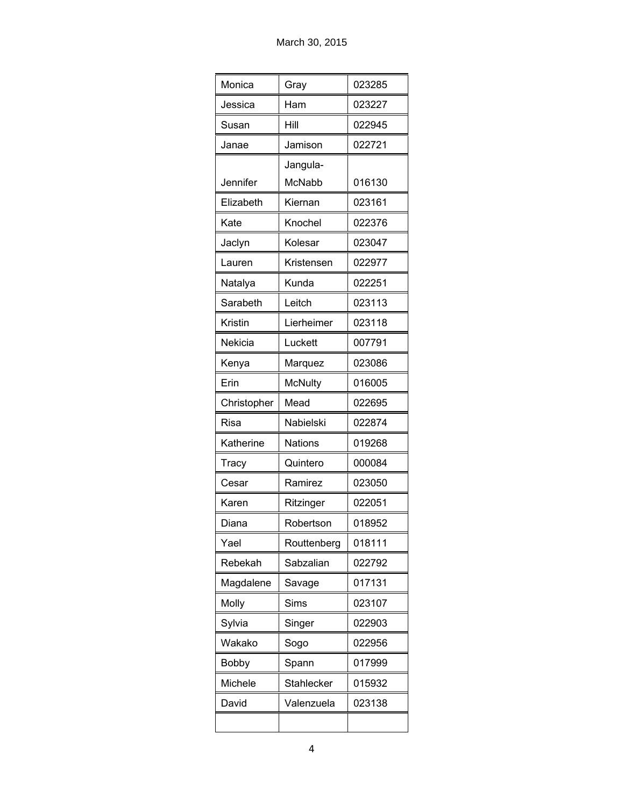| Monica       | Gray           | 023285 |
|--------------|----------------|--------|
| Jessica      | Ham            | 023227 |
| Susan        | Hill           | 022945 |
| Janae        | Jamison        | 022721 |
|              | Jangula-       |        |
| Jennifer     | <b>McNabb</b>  | 016130 |
| Elizabeth    | Kiernan        | 023161 |
| Kate         | Knochel        | 022376 |
| Jaclyn       | Kolesar        | 023047 |
| Lauren       | Kristensen     | 022977 |
| Natalya      | Kunda          | 022251 |
| Sarabeth     | Leitch         | 023113 |
| Kristin      | Lierheimer     | 023118 |
| Nekicia      | Luckett        | 007791 |
| Kenya        | Marquez        | 023086 |
| Erin         | <b>McNulty</b> | 016005 |
| Christopher  | Mead           | 022695 |
| Risa         | Nabielski      | 022874 |
| Katherine    | <b>Nations</b> | 019268 |
| Tracy        | Quintero       | 000084 |
| Cesar        | Ramirez        | 023050 |
| Karen        | Ritzinger      | 022051 |
| Diana        | Robertson      | 018952 |
| Yael         | Routtenberg    | 018111 |
| Rebekah      | Sabzalian      | 022792 |
| Magdalene    | Savage         | 017131 |
| Molly        | Sims           | 023107 |
| Sylvia       | Singer         | 022903 |
| Wakako       | Sogo           | 022956 |
| <b>Bobby</b> | Spann          | 017999 |
| Michele      | Stahlecker     | 015932 |
| David        | Valenzuela     | 023138 |
|              |                |        |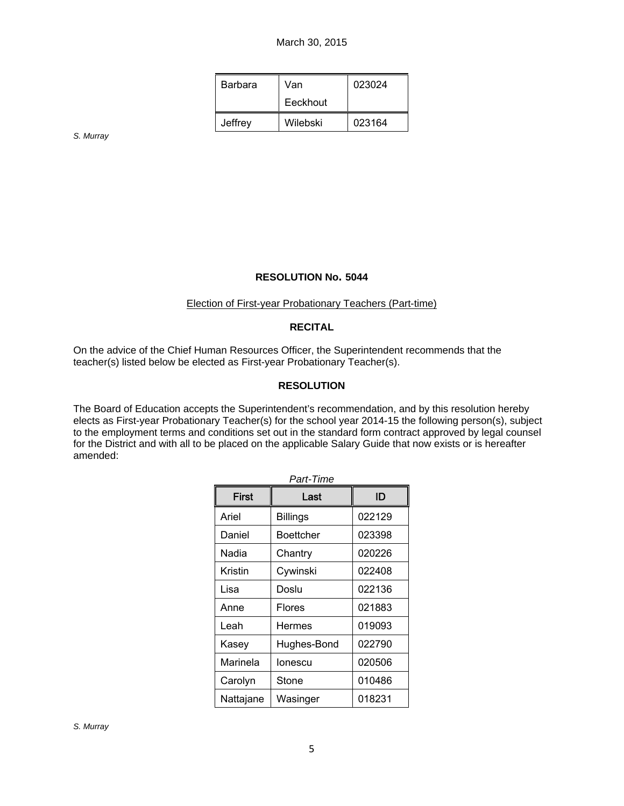| Barbara | Van      | 023024 |
|---------|----------|--------|
|         | Eeckhout |        |
| Jeffrey | Wilebski | 023164 |

*S. Murray* 

#### **RESOLUTION No. 5044**

#### Election of First-year Probationary Teachers (Part-time)

# **RECITAL**

On the advice of the Chief Human Resources Officer, the Superintendent recommends that the teacher(s) listed below be elected as First-year Probationary Teacher(s).

#### **RESOLUTION**

The Board of Education accepts the Superintendent's recommendation, and by this resolution hereby elects as First-year Probationary Teacher(s) for the school year 2014-15 the following person(s), subject to the employment terms and conditions set out in the standard form contract approved by legal counsel for the District and with all to be placed on the applicable Salary Guide that now exists or is hereafter amended:

| Part-Time    |                 |        |  |
|--------------|-----------------|--------|--|
| <b>First</b> | Last            | ID     |  |
| Ariel        | <b>Billings</b> | 022129 |  |
| Daniel       | Boettcher       | 023398 |  |
| Nadia        | Chantry         | 020226 |  |
| Kristin      | Cywinski        | 022408 |  |
| Lisa         | Doslu           | 022136 |  |
| Anne         | Flores          | 021883 |  |
| Leah         | Hermes          | 019093 |  |
| Kasey        | Hughes-Bond     | 022790 |  |
| Marinela     | lonescu         | 020506 |  |
| Carolyn      | Stone           | 010486 |  |
| Nattajane    | Wasinger        | 018231 |  |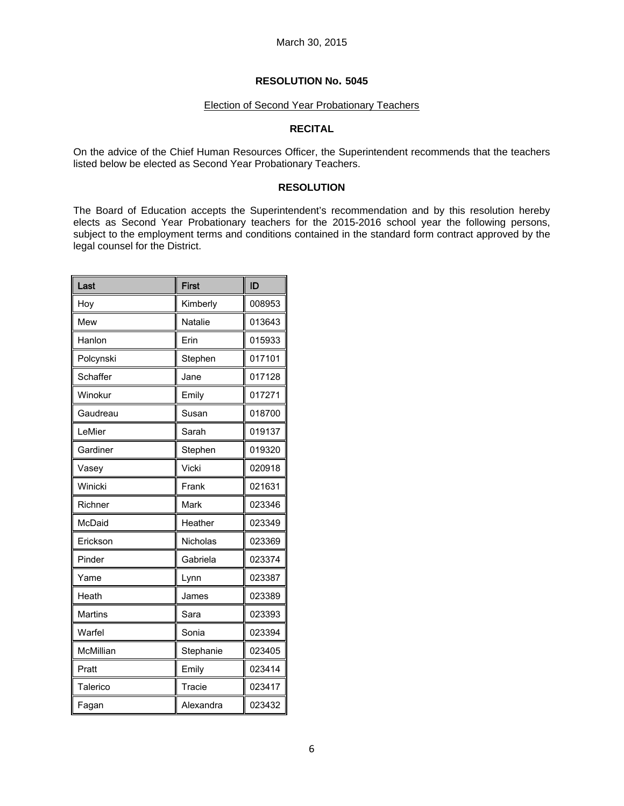#### Election of Second Year Probationary Teachers

## **RECITAL**

On the advice of the Chief Human Resources Officer, the Superintendent recommends that the teachers listed below be elected as Second Year Probationary Teachers.

## **RESOLUTION**

The Board of Education accepts the Superintendent's recommendation and by this resolution hereby elects as Second Year Probationary teachers for the 2015-2016 school year the following persons, subject to the employment terms and conditions contained in the standard form contract approved by the legal counsel for the District.

| Last           | <b>First</b> | ID     |
|----------------|--------------|--------|
| Hoy            | Kimberly     | 008953 |
| Mew            | Natalie      | 013643 |
| Hanlon         | Erin         | 015933 |
| Polcynski      | Stephen      | 017101 |
| Schaffer       | Jane         | 017128 |
| Winokur        | Emily        | 017271 |
| Gaudreau       | Susan        | 018700 |
| LeMier         | Sarah        | 019137 |
| Gardiner       | Stephen      | 019320 |
| Vasey          | Vicki        | 020918 |
| Winicki        | Frank        | 021631 |
| Richner        | Mark         | 023346 |
| McDaid         | Heather      | 023349 |
| Erickson       | Nicholas     | 023369 |
| Pinder         | Gabriela     | 023374 |
| Yame           | Lynn         | 023387 |
| Heath          | James        | 023389 |
| <b>Martins</b> | Sara         | 023393 |
| Warfel         | Sonia        | 023394 |
| McMillian      | Stephanie    | 023405 |
| Pratt          | Emily        | 023414 |
| Talerico       | Tracie       | 023417 |
| Fagan          | Alexandra    | 023432 |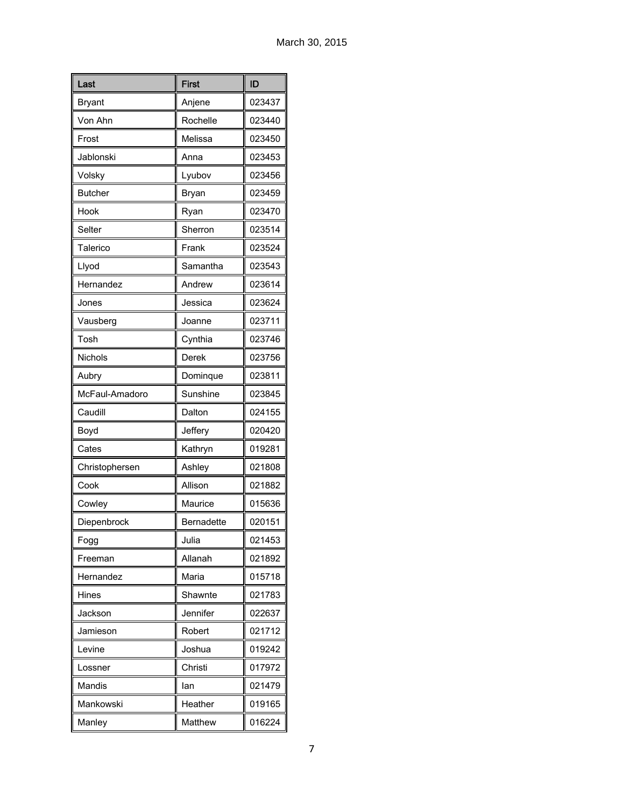| Last           | <b>First</b> | ID     |
|----------------|--------------|--------|
| Bryant         | Anjene       | 023437 |
| Von Ahn        | Rochelle     | 023440 |
| Frost          | Melissa      | 023450 |
| Jablonski      | Anna         | 023453 |
| Volsky         | Lyubov       | 023456 |
| <b>Butcher</b> | Bryan        | 023459 |
| Hook           | Ryan         | 023470 |
| Selter         | Sherron      | 023514 |
| Talerico       | Frank        | 023524 |
| Llyod          | Samantha     | 023543 |
| Hernandez      | Andrew       | 023614 |
| Jones          | Jessica      | 023624 |
| Vausberg       | Joanne       | 023711 |
| Tosh           | Cynthia      | 023746 |
| <b>Nichols</b> | Derek        | 023756 |
| Aubry          | Dominque     | 023811 |
| McFaul-Amadoro | Sunshine     | 023845 |
| Caudill        | Dalton       | 024155 |
| Boyd           | Jeffery      | 020420 |
| Cates          | Kathryn      | 019281 |
| Christophersen | Ashley       | 021808 |
| Cook           | Allison      | 021882 |
| Cowley         | Maurice      | 015636 |
| Diepenbrock    | Bernadette   | 020151 |
| Fogg           | Julia        | 021453 |
| Freeman        | Allanah      | 021892 |
| Hernandez      | Maria        | 015718 |
| Hines          | Shawnte      | 021783 |
| Jackson        | Jennifer     | 022637 |
| Jamieson       | Robert       | 021712 |
| Levine         | Joshua       | 019242 |
| Lossner        | Christi      | 017972 |
| Mandis         | lan          | 021479 |
| Mankowski      | Heather      | 019165 |
| Manley         | Matthew      | 016224 |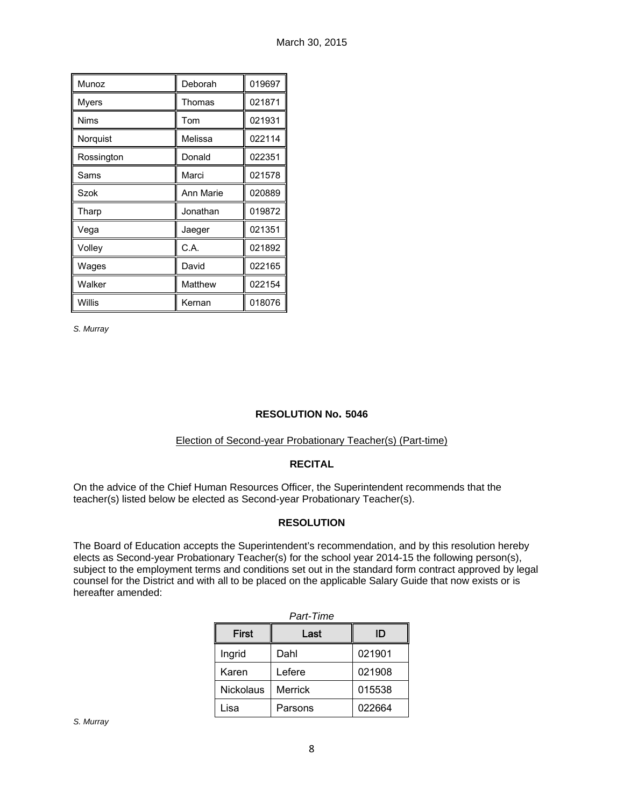| Munoz       | Deborah   | 019697 |
|-------------|-----------|--------|
| Myers       | Thomas    | 021871 |
| <b>Nims</b> | Tom       | 021931 |
| Norquist    | Melissa   | 022114 |
| Rossington  | Donald    | 022351 |
| Sams        | Marci     | 021578 |
| Szok        | Ann Marie | 020889 |
| Tharp       | Jonathan  | 019872 |
| Vega        | Jaeger    | 021351 |
| Volley      | C.A.      | 021892 |
| Wages       | David     | 022165 |
| Walker      | Matthew   | 022154 |
| Willis      | Kernan    | 018076 |

*S. Murray* 

# **RESOLUTION No. 5046**

#### Election of Second-year Probationary Teacher(s) (Part-time)

# **RECITAL**

On the advice of the Chief Human Resources Officer, the Superintendent recommends that the teacher(s) listed below be elected as Second-year Probationary Teacher(s).

# **RESOLUTION**

The Board of Education accepts the Superintendent's recommendation, and by this resolution hereby elects as Second-year Probationary Teacher(s) for the school year 2014-15 the following person(s), subject to the employment terms and conditions set out in the standard form contract approved by legal counsel for the District and with all to be placed on the applicable Salary Guide that now exists or is hereafter amended:

| Part-Time        |                |        |  |
|------------------|----------------|--------|--|
| <b>First</b>     | Last           | ID     |  |
| Ingrid           | Dahl           | 021901 |  |
| Karen            | Lefere         | 021908 |  |
| <b>Nickolaus</b> | <b>Merrick</b> | 015538 |  |
| Lisa             | Parsons        | 022664 |  |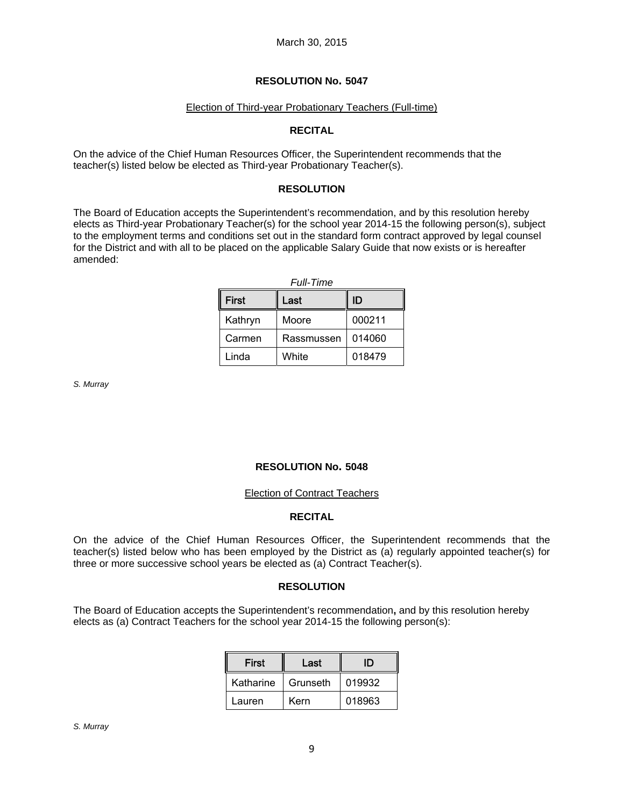## Election of Third-year Probationary Teachers (Full-time)

## **RECITAL**

On the advice of the Chief Human Resources Officer, the Superintendent recommends that the teacher(s) listed below be elected as Third-year Probationary Teacher(s).

## **RESOLUTION**

The Board of Education accepts the Superintendent's recommendation, and by this resolution hereby elects as Third-year Probationary Teacher(s) for the school year 2014-15 the following person(s), subject to the employment terms and conditions set out in the standard form contract approved by legal counsel for the District and with all to be placed on the applicable Salary Guide that now exists or is hereafter amended:

|  | Full-Time |
|--|-----------|
|--|-----------|

| <b>First</b> | Last       | ID     |
|--------------|------------|--------|
| Kathryn      | Moore      | 000211 |
| Carmen       | Rassmussen | 014060 |
| Linda        | White      | 018479 |

*S. Murray* 

#### **RESOLUTION No. 5048**

#### Election of Contract Teachers

#### **RECITAL**

On the advice of the Chief Human Resources Officer, the Superintendent recommends that the teacher(s) listed below who has been employed by the District as (a) regularly appointed teacher(s) for three or more successive school years be elected as (a) Contract Teacher(s).

#### **RESOLUTION**

The Board of Education accepts the Superintendent's recommendation**,** and by this resolution hereby elects as (a) Contract Teachers for the school year 2014-15 the following person(s):

| <b>First</b> | Last     | ID     |  |
|--------------|----------|--------|--|
| Katharine    | Grunseth | 019932 |  |
| Lauren       | Kern     | 018963 |  |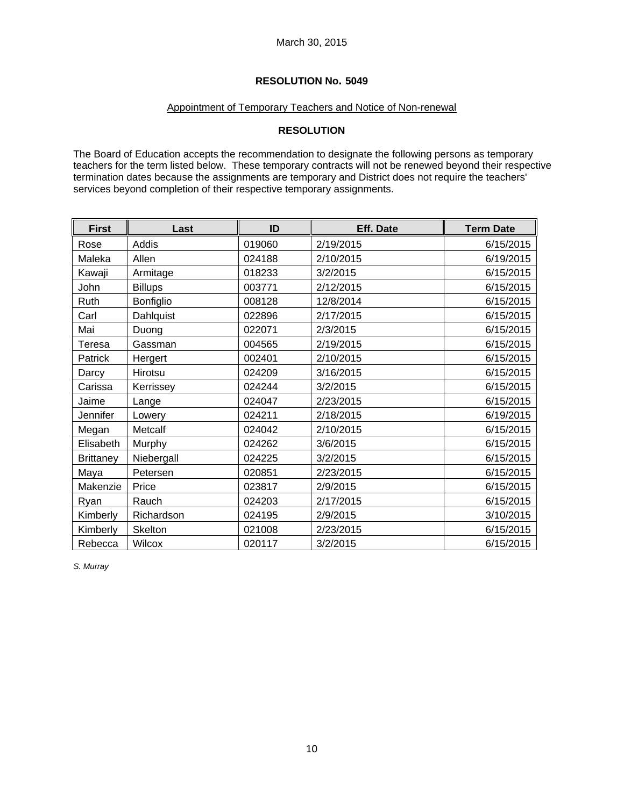# Appointment of Temporary Teachers and Notice of Non-renewal

# **RESOLUTION**

The Board of Education accepts the recommendation to designate the following persons as temporary teachers for the term listed below. These temporary contracts will not be renewed beyond their respective termination dates because the assignments are temporary and District does not require the teachers' services beyond completion of their respective temporary assignments.

| <b>First</b>     | Last           | ID     | <b>Eff. Date</b> | <b>Term Date</b> |
|------------------|----------------|--------|------------------|------------------|
| Rose             | Addis          | 019060 | 2/19/2015        | 6/15/2015        |
| Maleka           | Allen          | 024188 | 2/10/2015        | 6/19/2015        |
| Kawaji           | Armitage       | 018233 | 3/2/2015         | 6/15/2015        |
| John             | <b>Billups</b> | 003771 | 2/12/2015        | 6/15/2015        |
| Ruth             | Bonfiglio      | 008128 | 12/8/2014        | 6/15/2015        |
| Carl             | Dahlquist      | 022896 | 2/17/2015        | 6/15/2015        |
| Mai              | Duong          | 022071 | 2/3/2015         | 6/15/2015        |
| Teresa           | Gassman        | 004565 | 2/19/2015        | 6/15/2015        |
| Patrick          | Hergert        | 002401 | 2/10/2015        | 6/15/2015        |
| Darcy            | Hirotsu        | 024209 | 3/16/2015        | 6/15/2015        |
| Carissa          | Kerrissey      | 024244 | 3/2/2015         | 6/15/2015        |
| Jaime            | Lange          | 024047 | 2/23/2015        | 6/15/2015        |
| Jennifer         | Lowery         | 024211 | 2/18/2015        | 6/19/2015        |
| Megan            | Metcalf        | 024042 | 2/10/2015        | 6/15/2015        |
| Elisabeth        | Murphy         | 024262 | 3/6/2015         | 6/15/2015        |
| <b>Brittaney</b> | Niebergall     | 024225 | 3/2/2015         | 6/15/2015        |
| Maya             | Petersen       | 020851 | 2/23/2015        | 6/15/2015        |
| Makenzie         | Price          | 023817 | 2/9/2015         | 6/15/2015        |
| Ryan             | Rauch          | 024203 | 2/17/2015        | 6/15/2015        |
| Kimberly         | Richardson     | 024195 | 2/9/2015         | 3/10/2015        |
| Kimberly         | Skelton        | 021008 | 2/23/2015        | 6/15/2015        |
| Rebecca          | Wilcox         | 020117 | 3/2/2015         | 6/15/2015        |

*S. Murray*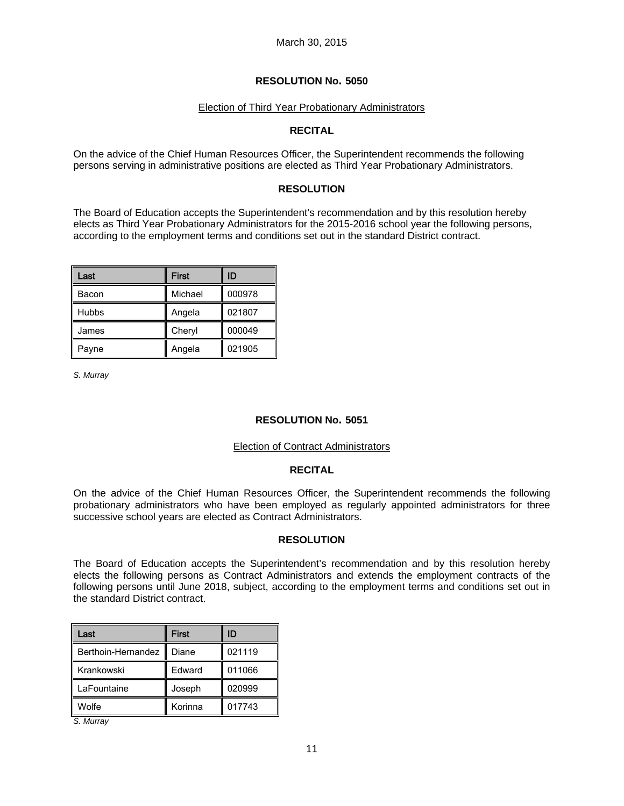## Election of Third Year Probationary Administrators

# **RECITAL**

On the advice of the Chief Human Resources Officer, the Superintendent recommends the following persons serving in administrative positions are elected as Third Year Probationary Administrators.

# **RESOLUTION**

The Board of Education accepts the Superintendent's recommendation and by this resolution hereby elects as Third Year Probationary Administrators for the 2015-2016 school year the following persons, according to the employment terms and conditions set out in the standard District contract.

| Last         | <b>First</b> | ID     |
|--------------|--------------|--------|
| Bacon        | Michael      | 000978 |
| <b>Hubbs</b> | Angela       | 021807 |
| James        | Cheryl       | 000049 |
| Payne        | Angela       | 021905 |

*S. Murray* 

# **RESOLUTION No. 5051**

#### Election of Contract Administrators

## **RECITAL**

On the advice of the Chief Human Resources Officer, the Superintendent recommends the following probationary administrators who have been employed as regularly appointed administrators for three successive school years are elected as Contract Administrators.

#### **RESOLUTION**

The Board of Education accepts the Superintendent's recommendation and by this resolution hereby elects the following persons as Contract Administrators and extends the employment contracts of the following persons until June 2018, subject, according to the employment terms and conditions set out in the standard District contract.

| Last               | <b>First</b> | ID     |  |
|--------------------|--------------|--------|--|
| Berthoin-Hernandez | Diane        | 021119 |  |
| Krankowski         | Edward       | 011066 |  |
| LaFountaine        | Joseph       | 020999 |  |
| Wolfe              | Korinna      | 017743 |  |

*S. Murray*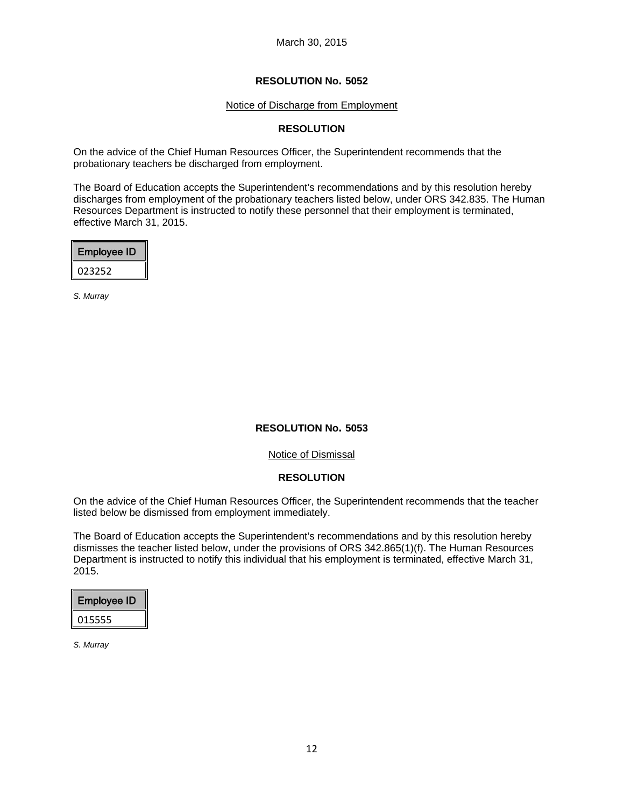#### Notice of Discharge from Employment

## **RESOLUTION**

On the advice of the Chief Human Resources Officer, the Superintendent recommends that the probationary teachers be discharged from employment.

The Board of Education accepts the Superintendent's recommendations and by this resolution hereby discharges from employment of the probationary teachers listed below, under ORS 342.835. The Human Resources Department is instructed to notify these personnel that their employment is terminated, effective March 31, 2015.

| <b>Employee ID</b> |  |
|--------------------|--|
| 023252             |  |

*S. Murray* 

#### **RESOLUTION No. 5053**

Notice of Dismissal

#### **RESOLUTION**

On the advice of the Chief Human Resources Officer, the Superintendent recommends that the teacher listed below be dismissed from employment immediately.

The Board of Education accepts the Superintendent's recommendations and by this resolution hereby dismisses the teacher listed below, under the provisions of ORS 342.865(1)(f). The Human Resources Department is instructed to notify this individual that his employment is terminated, effective March 31, 2015.

| Employee ID |
|-------------|
| 015555      |

*S. Murray*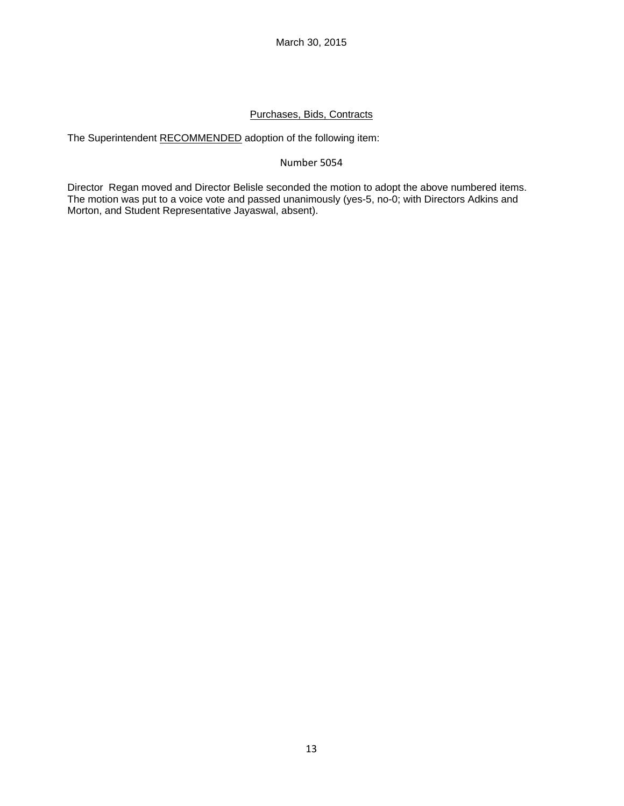# Purchases, Bids, Contracts

The Superintendent RECOMMENDED adoption of the following item:

# Number 5054

Director Regan moved and Director Belisle seconded the motion to adopt the above numbered items. The motion was put to a voice vote and passed unanimously (yes-5, no-0; with Directors Adkins and Morton, and Student Representative Jayaswal, absent).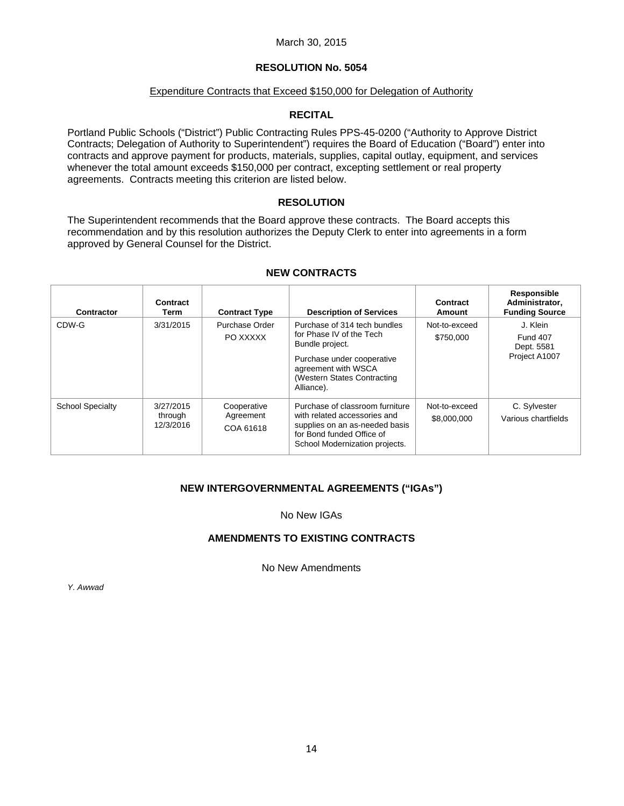## March 30, 2015

# **RESOLUTION No. 5054**

#### Expenditure Contracts that Exceed \$150,000 for Delegation of Authority

## **RECITAL**

Portland Public Schools ("District") Public Contracting Rules PPS-45-0200 ("Authority to Approve District Contracts; Delegation of Authority to Superintendent") requires the Board of Education ("Board") enter into contracts and approve payment for products, materials, supplies, capital outlay, equipment, and services whenever the total amount exceeds \$150,000 per contract, excepting settlement or real property agreements. Contracts meeting this criterion are listed below.

## **RESOLUTION**

The Superintendent recommends that the Board approve these contracts. The Board accepts this recommendation and by this resolution authorizes the Deputy Clerk to enter into agreements in a form approved by General Counsel for the District.

# **NEW CONTRACTS**

| Contractor              | Contract<br>Term                  | <b>Contract Type</b>                  | <b>Description of Services</b>                                                                                                                                                 | Contract<br>Amount           | Responsible<br>Administrator,<br><b>Funding Source</b>     |
|-------------------------|-----------------------------------|---------------------------------------|--------------------------------------------------------------------------------------------------------------------------------------------------------------------------------|------------------------------|------------------------------------------------------------|
| CDW-G                   | 3/31/2015                         | Purchase Order<br>PO XXXXX            | Purchase of 314 tech bundles<br>for Phase IV of the Tech<br>Bundle project.<br>Purchase under cooperative<br>agreement with WSCA<br>(Western States Contracting)<br>Alliance). | Not-to-exceed<br>\$750,000   | J. Klein<br><b>Fund 407</b><br>Dept. 5581<br>Project A1007 |
| <b>School Specialty</b> | 3/27/2015<br>through<br>12/3/2016 | Cooperative<br>Agreement<br>COA 61618 | Purchase of classroom furniture<br>with related accessories and<br>supplies on an as-needed basis<br>for Bond funded Office of<br>School Modernization projects.               | Not-to-exceed<br>\$8,000,000 | C. Sylvester<br>Various chartfields                        |

# **NEW INTERGOVERNMENTAL AGREEMENTS ("IGAs")**

#### No New IGAs

# **AMENDMENTS TO EXISTING CONTRACTS**

No New Amendments

*Y. Awwad*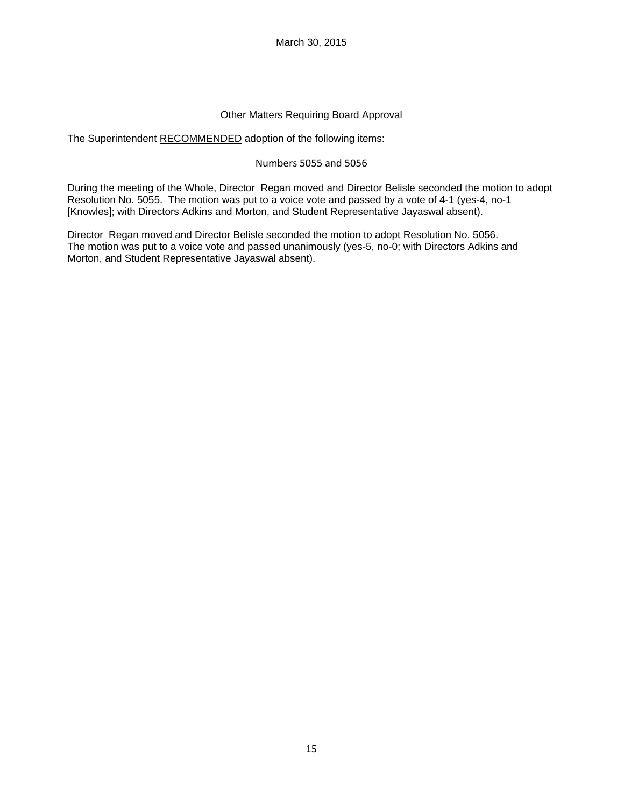March 30, 2015

# Other Matters Requiring Board Approval

The Superintendent RECOMMENDED adoption of the following items:

## Numbers 5055 and 5056

During the meeting of the Whole, Director Regan moved and Director Belisle seconded the motion to adopt Resolution No. 5055. The motion was put to a voice vote and passed by a vote of 4-1 (yes-4, no-1 [Knowles]; with Directors Adkins and Morton, and Student Representative Jayaswal absent).

Director Regan moved and Director Belisle seconded the motion to adopt Resolution No. 5056. The motion was put to a voice vote and passed unanimously (yes-5, no-0; with Directors Adkins and Morton, and Student Representative Jayaswal absent).